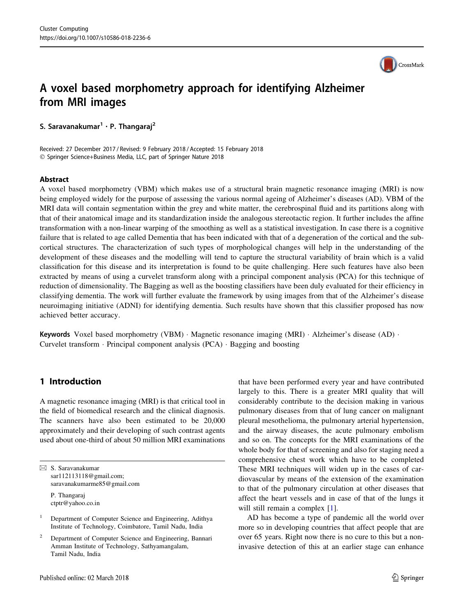

# A voxel based morphometry approach for identifying Alzheimer from MRI images

S. Saravanakumar $1 \cdot P$ . Thangaraj<sup>2</sup>

Received: 27 December 2017 / Revised: 9 February 2018 / Accepted: 15 February 2018 - Springer Science+Business Media, LLC, part of Springer Nature 2018

## Abstract

A voxel based morphometry (VBM) which makes use of a structural brain magnetic resonance imaging (MRI) is now being employed widely for the purpose of assessing the various normal ageing of Alzheimer's diseases (AD). VBM of the MRI data will contain segmentation within the grey and white matter, the cerebrospinal fluid and its partitions along with that of their anatomical image and its standardization inside the analogous stereotactic region. It further includes the affine transformation with a non-linear warping of the smoothing as well as a statistical investigation. In case there is a cognitive failure that is related to age called Dementia that has been indicated with that of a degeneration of the cortical and the subcortical structures. The characterization of such types of morphological changes will help in the understanding of the development of these diseases and the modelling will tend to capture the structural variability of brain which is a valid classification for this disease and its interpretation is found to be quite challenging. Here such features have also been extracted by means of using a curvelet transform along with a principal component analysis (PCA) for this technique of reduction of dimensionality. The Bagging as well as the boosting classifiers have been duly evaluated for their efficiency in classifying dementia. The work will further evaluate the framework by using images from that of the Alzheimer's disease neuroimaging initiative (ADNI) for identifying dementia. Such results have shown that this classifier proposed has now achieved better accuracy.

Keywords Voxel based morphometry (VBM) · Magnetic resonance imaging (MRI) · Alzheimer's disease (AD) · Curvelet transform - Principal component analysis (PCA) - Bagging and boosting

# 1 Introduction

A magnetic resonance imaging (MRI) is that critical tool in the field of biomedical research and the clinical diagnosis. The scanners have also been estimated to be 20,000 approximately and their developing of such contrast agents used about one-third of about 50 million MRI examinations

 $\boxtimes$  S. Saravanakumar sar112113118@gmail.com; saravanakumarme85@gmail.com

> P. Thangaraj ctptr@yahoo.co.in

that have been performed every year and have contributed largely to this. There is a greater MRI quality that will considerably contribute to the decision making in various pulmonary diseases from that of lung cancer on malignant pleural mesothelioma, the pulmonary arterial hypertension, and the airway diseases, the acute pulmonary embolism and so on. The concepts for the MRI examinations of the whole body for that of screening and also for staging need a comprehensive chest work which have to be completed These MRI techniques will widen up in the cases of cardiovascular by means of the extension of the examination to that of the pulmonary circulation at other diseases that affect the heart vessels and in case of that of the lungs it will still remain a complex [[1\]](#page-6-0).

AD has become a type of pandemic all the world over more so in developing countries that affect people that are over 65 years. Right now there is no cure to this but a noninvasive detection of this at an earlier stage can enhance

<sup>&</sup>lt;sup>1</sup> Department of Computer Science and Engineering, Adithya Institute of Technology, Coimbatore, Tamil Nadu, India

<sup>2</sup> Department of Computer Science and Engineering, Bannari Amman Institute of Technology, Sathyamangalam, Tamil Nadu, India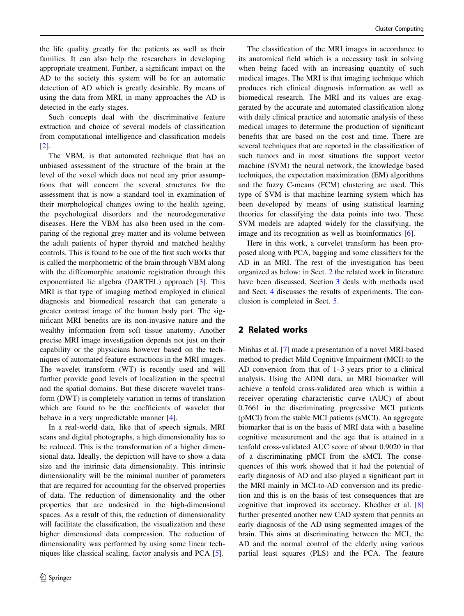the life quality greatly for the patients as well as their families. It can also help the researchers in developing appropriate treatment. Further, a significant impact on the AD to the society this system will be for an automatic detection of AD which is greatly desirable. By means of using the data from MRI, in many approaches the AD is detected in the early stages.

Such concepts deal with the discriminative feature extraction and choice of several models of classification from computational intelligence and classification models [\[2](#page-7-0)].

The VBM, is that automated technique that has an unbiased assessment of the structure of the brain at the level of the voxel which does not need any prior assumptions that will concern the several structures for the assessment that is now a standard tool in examination of their morphological changes owing to the health ageing, the psychological disorders and the neurodegenerative diseases. Here the VBM has also been used in the comparing of the regional grey matter and its volume between the adult patients of hyper thyroid and matched healthy controls. This is found to be one of the first such works that is called the morphometric of the brain through VBM along with the diffeomorphic anatomic registration through this exponentiated lie algebra (DARTEL) approach [[3\]](#page-7-0). This MRI is that type of imaging method employed in clinical diagnosis and biomedical research that can generate a greater contrast image of the human body part. The significant MRI benefits are its non-invasive nature and the wealthy information from soft tissue anatomy. Another precise MRI image investigation depends not just on their capability or the physicians however based on the techniques of automated feature extractions in the MRI images. The wavelet transform (WT) is recently used and will further provide good levels of localization in the spectral and the spatial domains. But these discrete wavelet transform (DWT) is completely variation in terms of translation which are found to be the coefficients of wavelet that behave in a very unpredictable manner [\[4](#page-7-0)].

In a real-world data, like that of speech signals, MRI scans and digital photographs, a high dimensionality has to be reduced. This is the transformation of a higher dimensional data. Ideally, the depiction will have to show a data size and the intrinsic data dimensionality. This intrinsic dimensionality will be the minimal number of parameters that are required for accounting for the observed properties of data. The reduction of dimensionality and the other properties that are undesired in the high-dimensional spaces. As a result of this, the reduction of dimensionality will facilitate the classification, the visualization and these higher dimensional data compression. The reduction of dimensionality was performed by using some linear techniques like classical scaling, factor analysis and PCA [\[5](#page-7-0)].

The classification of the MRI images in accordance to its anatomical field which is a necessary task in solving when being faced with an increasing quantity of such medical images. The MRI is that imaging technique which produces rich clinical diagnosis information as well as biomedical research. The MRI and its values are exaggerated by the accurate and automated classification along with daily clinical practice and automatic analysis of these medical images to determine the production of significant benefits that are based on the cost and time. There are several techniques that are reported in the classification of such tumors and in most situations the support vector machine (SVM) the neural network, the knowledge based techniques, the expectation maximization (EM) algorithms and the fuzzy C-means (FCM) clustering are used. This type of SVM is that machine learning system which has been developed by means of using statistical learning theories for classifying the data points into two. These SVM models are adapted widely for the classifying, the image and its recognition as well as bioinformatics [\[6](#page-7-0)].

Here in this work, a curvelet transform has been proposed along with PCA, bagging and some classifiers for the AD in an MRI. The rest of the investigation has been organized as below: in Sect. 2 the related work in literature have been discussed. Section [3](#page-3-0) deals with methods used and Sect. [4](#page-5-0) discusses the results of experiments. The conclusion is completed in Sect. [5.](#page-6-0)

# 2 Related works

Minhas et al. [[7\]](#page-7-0) made a presentation of a novel MRI-based method to predict Mild Cognitive Impairment (MCI)-to the AD conversion from that of 1–3 years prior to a clinical analysis. Using the ADNI data, an MRI biomarker will achieve a tenfold cross-validated area which is within a receiver operating characteristic curve (AUC) of about 0.7661 in the discriminating progressive MCI patients (pMCI) from the stable MCI patients (sMCI). An aggregate biomarker that is on the basis of MRI data with a baseline cognitive measurement and the age that is attained in a tenfold cross-validated AUC score of about 0.9020 in that of a discriminating pMCI from the sMCI. The consequences of this work showed that it had the potential of early diagnosis of AD and also played a significant part in the MRI mainly in MCI-to-AD conversion and its prediction and this is on the basis of test consequences that are cognitive that improved its accuracy. Khedher et al. [[8\]](#page-7-0) further presented another new CAD system that permits an early diagnosis of the AD using segmented images of the brain. This aims at discriminating between the MCI, the AD and the normal control of the elderly using various partial least squares (PLS) and the PCA. The feature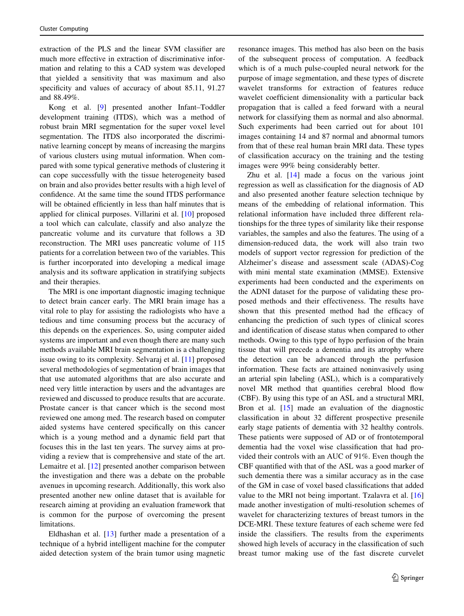extraction of the PLS and the linear SVM classifier are much more effective in extraction of discriminative information and relating to this a CAD system was developed that yielded a sensitivity that was maximum and also specificity and values of accuracy of about 85.11, 91.27 and 88.49%.

Kong et al. [\[9](#page-7-0)] presented another Infant–Toddler development training (ITDS), which was a method of robust brain MRI segmentation for the super voxel level segmentation. The ITDS also incorporated the discriminative learning concept by means of increasing the margins of various clusters using mutual information. When compared with some typical generative methods of clustering it can cope successfully with the tissue heterogeneity based on brain and also provides better results with a high level of confidence. At the same time the sound ITDS performance will be obtained efficiently in less than half minutes that is applied for clinical purposes. Villarini et al. [\[10](#page-7-0)] proposed a tool which can calculate, classify and also analyze the pancreatic volume and its curvature that follows a 3D reconstruction. The MRI uses pancreatic volume of 115 patients for a correlation between two of the variables. This is further incorporated into developing a medical image analysis and its software application in stratifying subjects and their therapies.

The MRI is one important diagnostic imaging technique to detect brain cancer early. The MRI brain image has a vital role to play for assisting the radiologists who have a tedious and time consuming process but the accuracy of this depends on the experiences. So, using computer aided systems are important and even though there are many such methods available MRI brain segmentation is a challenging issue owing to its complexity. Selvaraj et al. [\[11](#page-7-0)] proposed several methodologies of segmentation of brain images that that use automated algorithms that are also accurate and need very little interaction by users and the advantages are reviewed and discussed to produce results that are accurate. Prostate cancer is that cancer which is the second most reviewed one among med. The research based on computer aided systems have centered specifically on this cancer which is a young method and a dynamic field part that focuses this in the last ten years. The survey aims at providing a review that is comprehensive and state of the art. Lemaitre et al. [\[12](#page-7-0)] presented another comparison between the investigation and there was a debate on the probable avenues in upcoming research. Additionally, this work also presented another new online dataset that is available for research aiming at providing an evaluation framework that is common for the purpose of overcoming the present limitations.

Eldhashan et al. [[13](#page-7-0)] further made a presentation of a technique of a hybrid intelligent machine for the computer aided detection system of the brain tumor using magnetic resonance images. This method has also been on the basis of the subsequent process of computation. A feedback which is of a much pulse-coupled neural network for the purpose of image segmentation, and these types of discrete wavelet transforms for extraction of features reduce wavelet coefficient dimensionality with a particular back propagation that is called a feed forward with a neural network for classifying them as normal and also abnormal. Such experiments had been carried out for about 101 images containing 14 and 87 normal and abnormal tumors from that of these real human brain MRI data. These types of classification accuracy on the training and the testing images were 99% being considerably better.

Zhu et al. [[14\]](#page-7-0) made a focus on the various joint regression as well as classification for the diagnosis of AD and also presented another feature selection technique by means of the embedding of relational information. This relational information have included three different relationships for the three types of similarity like their response variables, the samples and also the features. The using of a dimension-reduced data, the work will also train two models of support vector regression for prediction of the Alzheimer's disease and assessment scale (ADAS)-Cog with mini mental state examination (MMSE). Extensive experiments had been conducted and the experiments on the ADNI dataset for the purpose of validating these proposed methods and their effectiveness. The results have shown that this presented method had the efficacy of enhancing the prediction of such types of clinical scores and identification of disease status when compared to other methods. Owing to this type of hypo perfusion of the brain tissue that will precede a dementia and its atrophy where the detection can be advanced through the perfusion information. These facts are attained noninvasively using an arterial spin labeling (ASL), which is a comparatively novel MR method that quantifies cerebral blood flow (CBF). By using this type of an ASL and a structural MRI, Bron et al. [\[15](#page-7-0)] made an evaluation of the diagnostic classification in about 32 different prospective presenile early stage patients of dementia with 32 healthy controls. These patients were supposed of AD or of frontotemporal dementia had the voxel wise classification that had provided their controls with an AUC of 91%. Even though the CBF quantified with that of the ASL was a good marker of such dementia there was a similar accuracy as in the case of the GM in case of voxel based classifications that added value to the MRI not being important. Tzalavra et al. [[16\]](#page-7-0) made another investigation of multi-resolution schemes of wavelet for characterizing textures of breast tumors in the DCE-MRI. These texture features of each scheme were fed inside the classifiers. The results from the experiments showed high levels of accuracy in the classification of such breast tumor making use of the fast discrete curvelet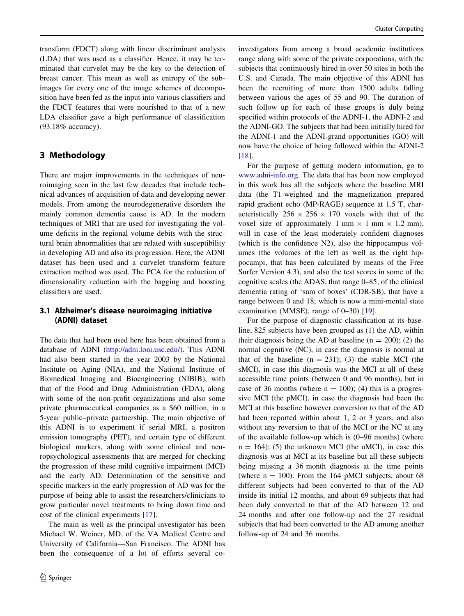<span id="page-3-0"></span>transform (FDCT) along with linear discriminant analysis (LDA) that was used as a classifier. Hence, it may be terminated that curvelet may be the key to the detection of breast cancer. This mean as well as entropy of the subimages for every one of the image schemes of decomposition have been fed as the input into various classifiers and the FDCT features that were nourished to that of a new LDA classifier gave a high performance of classification (93.18% accuracy).

# 3 Methodology

There are major improvements in the techniques of neuroimaging seen in the last few decades that include technical advances of acquisition of data and developing newer models. From among the neurodegenerative disorders the mainly common dementia cause is AD. In the modern techniques of MRI that are used for investigating the volume deficits in the regional volume debits with the structural brain abnormalities that are related with susceptibility in developing AD and also its progression. Here, the ADNI dataset has been used and a curvelet transform feature extraction method was used. The PCA for the reduction of dimensionality reduction with the bagging and boosting classifiers are used.

## 3.1 Alzheimer's disease neuroimaging initiative (ADNI) dataset

The data that had been used here has been obtained from a database of ADNI [\(http://adni.loni.usc.edu/](http://adni.loni.usc.edu/)). This ADNI had also been started in the year 2003 by the National Institute on Aging (NIA), and the National Institute of Biomedical Imaging and Bioengineering (NIBIB), with that of the Food and Drug Administration (FDA), along with some of the non-profit organizations and also some private pharmaceutical companies as a \$60 million, in a 5-year public–private partnership. The main objective of this ADNI is to experiment if serial MRI, a positron emission tomography (PET), and certain type of different biological markers, along with some clinical and neuropsychological assessments that are merged for checking the progression of these mild cognitive impairment (MCI) and the early AD. Determination of the sensitive and specific markers in the early progression of AD was for the purpose of being able to assist the researchers/clinicians to grow particular novel treatments to bring down time and cost of the clinical experiments [\[17](#page-7-0)].

The main as well as the principal investigator has been Michael W. Weiner, MD, of the VA Medical Centre and University of California—San Francisco. The ADNI has been the consequence of a lot of efforts several coinvestigators from among a broad academic institutions range along with some of the private corporations, with the subjects that continuously hired in over 50 sites in both the U.S. and Canada. The main objective of this ADNI has been the recruiting of more than 1500 adults falling between various the ages of 55 and 90. The duration of such follow up for each of these groups is duly being specified within protocols of the ADNI-1, the ADNI-2 and the ADNI-GO. The subjects that had been initially hired for the ADNI-1 and the ADNI-grand opportunities (GO) will now have the choice of being followed within the ADNI-2 [\[18](#page-7-0)].

For the purpose of getting modern information, go to [www.adni-info.org.](http://www.adni-info.org) The data that has been now employed in this work has all the subjects where the baseline MRI data (the T1-weighted and the magnetization prepared rapid gradient echo (MP-RAGE) sequence at 1.5 T, characteristically  $256 \times 256 \times 170$  voxels with that of the voxel size of approximately 1 mm  $\times$  1 mm  $\times$  1.2 mm), will in case of the least moderately confident diagnoses (which is the confidence N2), also the hippocampus volumes (the volumes of the left as well as the right hippocampi, that has been calculated by means of the Free Surfer Version 4.3), and also the test scores in some of the cognitive scales (the ADAS, that range 0–85; of the clinical dementia rating of 'sum of boxes' (CDR-SB), that have a range between 0 and 18; which is now a mini-mental state examination (MMSE), range of 0–30) [[19\]](#page-7-0).

For the purpose of diagnostic classification at its baseline, 825 subjects have been grouped as (1) the AD, within their diagnosis being the AD at baseline ( $n = 200$ ); (2) the normal cognitive (NC), in case the diagnosis is normal at that of the baseline  $(n = 231)$ ; (3) the stable MCI (the sMCI), in case this diagnosis was the MCI at all of these accessible time points (between 0 and 96 months), but in case of 36 months (where  $n = 100$ ); (4) this is a progressive MCI (the pMCI), in case the diagnosis had been the MCI at this baseline however conversion to that of the AD had been reported within about 1, 2 or 3 years, and also without any reversion to that of the MCI or the NC at any of the available follow-up which is (0–96 months) (where  $n = 164$ ); (5) the unknown MCI (the uMCI), in case this diagnosis was at MCI at its baseline but all these subjects being missing a 36 month diagnosis at the time points (where  $n = 100$ ). From the 164 pMCI subjects, about 68 different subjects had been converted to that of the AD inside its initial 12 months, and about 69 subjects that had been duly converted to that of the AD between 12 and 24 months and after one follow-up and the 27 residual subjects that had been converted to the AD among another follow-up of 24 and 36 months.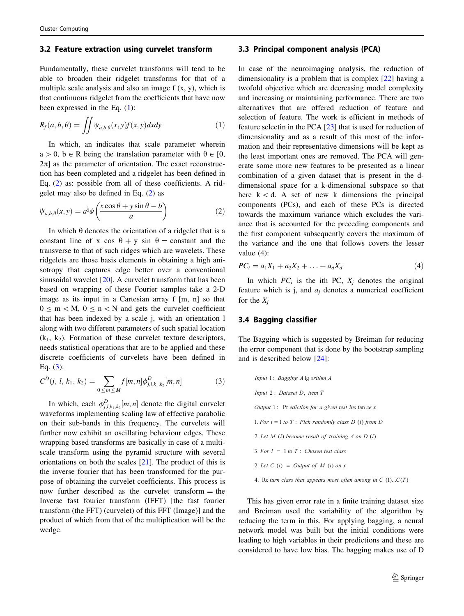#### 3.2 Feature extraction using curvelet transform

Fundamentally, these curvelet transforms will tend to be able to broaden their ridgelet transforms for that of a multiple scale analysis and also an image  $f(x, y)$ , which is that continuous ridgelet from the coefficients that have now been expressed in the Eq. (1):

$$
R_f(a,b,\theta) = \iint \psi_{a,b,\theta}(x,y)f(x,y)dxdy \tag{1}
$$

In which, an indicates that scale parameter wherein  $a > 0$ ,  $b \in R$  being the translation parameter with  $\theta \in [0, \pi]$  $2\pi$ ] as the parameter of orientation. The exact reconstruction has been completed and a ridgelet has been defined in Eq. (2) as: possible from all of these coefficients. A ridgelet may also be defined in Eq. (2) as

$$
\psi_{a,b,\theta}(x,y) = a^{\frac{1}{2}} \psi \left( \frac{x \cos \theta + y \sin \theta - b}{a} \right)
$$
 (2)

In which  $\theta$  denotes the orientation of a ridgelet that is a constant line of x cos  $\theta + y \sin \theta =$  constant and the transverse to that of such ridges which are wavelets. These ridgelets are those basis elements in obtaining a high anisotropy that captures edge better over a conventional sinusoidal wavelet [\[20](#page-7-0)]. A curvelet transform that has been based on wrapping of these Fourier samples take a 2-D image as its input in a Cartesian array f [m, n] so that  $0 \le m \lt M$ ,  $0 \le n \lt N$  and gets the curvelet coefficient that has been indexed by a scale j, with an orientation l along with two different parameters of such spatial location  $(k_1, k_2)$ . Formation of these curvelet texture descriptors, needs statistical operations that are to be applied and these discrete coefficients of curvelets have been defined in Eq.  $(3)$ :

$$
C^{D}(j, l, k_1, k_2) = \sum_{0 \le m \le M} f[m, n] \phi^{D}_{j, l, k_1, k_2}[m, n]
$$
 (3)

In which, each  $\phi_{j,l,k_1,k_2}^D[m,n]$  denote the digital curvelet waveforms implementing scaling law of effective parabolic on their sub-bands in this frequency. The curvelets will further now exhibit an oscillating behaviour edges. These wrapping based transforms are basically in case of a multiscale transform using the pyramid structure with several orientations on both the scales [[21\]](#page-7-0). The product of this is the inverse fourier that has been transformed for the purpose of obtaining the curvelet coefficients. This process is now further described as the curvelet transform  $=$  the Inverse fast fourier transform (IFFT) [the fast fourier transform (the FFT) (curvelet) of this FFT (Image)] and the product of which from that of the multiplication will be the wedge.

#### 3.3 Principal component analysis (PCA)

In case of the neuroimaging analysis, the reduction of dimensionality is a problem that is complex [[22\]](#page-7-0) having a twofold objective which are decreasing model complexity and increasing or maintaining performance. There are two alternatives that are offered reduction of feature and selection of feature. The work is efficient in methods of feature selectin in the PCA [\[23](#page-7-0)] that is used for reduction of dimensionality and as a result of this most of the information and their representative dimensions will be kept as the least important ones are removed. The PCA will generate some more new features to be presented as a linear combination of a given dataset that is present in the ddimensional space for a k-dimensional subspace so that here  $k < d$ . A set of new k dimensions the principal components (PCs), and each of these PCs is directed towards the maximum variance which excludes the variance that is accounted for the preceding components and the first component subsequently covers the maximum of the variance and the one that follows covers the lesser value (4):

$$
PC_i = a_1X_1 + a_2X_2 + \ldots + a_dX_d \tag{4}
$$

In which  $PC_i$  is the ith PC,  $X_i$  denotes the original feature which is j, and  $a_i$  denotes a numerical coefficient for the  $X_i$ 

## 3.4 Bagging classifier

The Bagging which is suggested by Breiman for reducing the error component that is done by the bootstrap sampling and is described below [[24\]](#page-7-0):

*Input* 1: *Bagging A* lg *orithm A*  2: , *Output* 1: Pr *ediction for a given test ins tan ce x* 1. For  $i = 1$  to  $T$ : Pick randomly class  $D$  (i) from  $D$ 2. Let M (*i*) become result of training A on D (*i*) *Input 2: Dataset D, item T*  $3. For i = 1 to T: Chosen test class$ 2. Let  $C(i) = Output of M(i) on x$ 4. Re turn class that appears most often among in  $C(1)...C(T)$ 

This has given error rate in a finite training dataset size and Breiman used the variability of the algorithm by reducing the term in this. For applying bagging, a neural network model was built but the initial conditions were leading to high variables in their predictions and these are considered to have low bias. The bagging makes use of D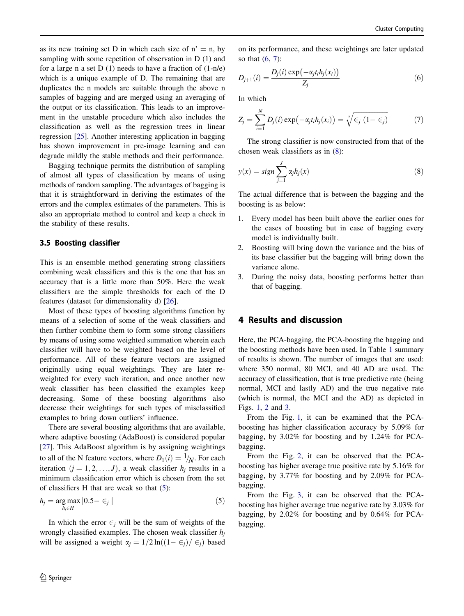<span id="page-5-0"></span>as its new training set D in which each size of  $n' = n$ , by sampling with some repetition of observation in D (1) and for a large n a set  $D(1)$  needs to have a fraction of  $(1-n/e)$ which is a unique example of D. The remaining that are duplicates the n models are suitable through the above n samples of bagging and are merged using an averaging of the output or its classification. This leads to an improvement in the unstable procedure which also includes the classification as well as the regression trees in linear regression [\[25](#page-7-0)]. Another interesting application in bagging has shown improvement in pre-image learning and can degrade mildly the stable methods and their performance.

Bagging technique permits the distribution of sampling of almost all types of classification by means of using methods of random sampling. The advantages of bagging is that it is straightforward in deriving the estimates of the errors and the complex estimates of the parameters. This is also an appropriate method to control and keep a check in the stability of these results.

#### 3.5 Boosting classifier

This is an ensemble method generating strong classifiers combining weak classifiers and this is the one that has an accuracy that is a little more than 50%. Here the weak classifiers are the simple thresholds for each of the D features (dataset for dimensionality d) [\[26](#page-7-0)].

Most of these types of boosting algorithms function by means of a selection of some of the weak classifiers and then further combine them to form some strong classifiers by means of using some weighted summation wherein each classifier will have to be weighted based on the level of performance. All of these feature vectors are assigned originally using equal weightings. They are later reweighted for every such iteration, and once another new weak classifier has been classified the examples keep decreasing. Some of these boosting algorithms also decrease their weightings for such types of misclassified examples to bring down outliers' influence.

There are several boosting algorithms that are available, where adaptive boosting (AdaBoost) is considered popular [\[27](#page-7-0)]. This AdaBoost algorithm is by assigning weightings to all of the N feature vectors, where  $D_1(i) = \frac{1}{N}$ . For each iteration  $(j = 1, 2, ..., J)$ , a weak classifier  $h_i$  results in a minimum classification error which is chosen from the set of classifiers H that are weak so that  $(5)$ :

$$
h_j = \underset{h_j \in H}{\arg \max} \left| 0.5 - \in_j \right| \tag{5}
$$

In which the error  $\epsilon_i$  will be the sum of weights of the wrongly classified examples. The chosen weak classifier  $h_i$ will be assigned a weight  $\alpha_j = 1/2 \ln((1 - \epsilon_j)/\epsilon_j)$  based

on its performance, and these weightings are later updated so that  $(6, 7)$ :

$$
D_{j+1}(i) = \frac{D_j(i) \exp(-\alpha_j t_i h_j(x_i))}{Z_j} \tag{6}
$$

In which

$$
Z_j = \sum_{i=1}^N D_j(i) \exp(-\alpha_j t_i h_j(x_i)) = \sqrt[2]{\epsilon_j (1 - \epsilon_j)}
$$
(7)

The strong classifier is now constructed from that of the chosen weak classifiers as in (8):

$$
y(x) = sign \sum_{j=1}^{J} \alpha_j h_j(x) \tag{8}
$$

The actual difference that is between the bagging and the boosting is as below:

- 1. Every model has been built above the earlier ones for the cases of boosting but in case of bagging every model is individually built.
- 2. Boosting will bring down the variance and the bias of its base classifier but the bagging will bring down the variance alone.
- 3. During the noisy data, boosting performs better than that of bagging.

## 4 Results and discussion

Here, the PCA-bagging, the PCA-boosting the bagging and the boosting methods have been used. In Table [1](#page-6-0) summary of results is shown. The number of images that are used: where 350 normal, 80 MCI, and 40 AD are used. The accuracy of classification, that is true predictive rate (being normal, MCI and lastly AD) and the true negative rate (which is normal, the MCI and the AD) as depicted in Figs. [1](#page-6-0), [2](#page-6-0) and [3.](#page-6-0)

From the Fig. [1](#page-6-0), it can be examined that the PCAboosting has higher classification accuracy by 5.09% for bagging, by 3.02% for boosting and by 1.24% for PCAbagging.

From the Fig. [2,](#page-6-0) it can be observed that the PCAboosting has higher average true positive rate by 5.16% for bagging, by 3.77% for boosting and by 2.09% for PCAbagging.

From the Fig. [3,](#page-6-0) it can be observed that the PCAboosting has higher average true negative rate by 3.03% for bagging, by 2.02% for boosting and by 0.64% for PCAbagging.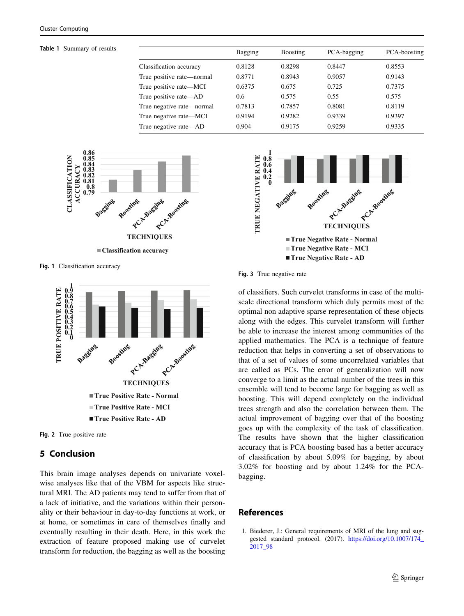<span id="page-6-0"></span>Table 1 Summary of results

|                           | <b>Bagging</b> | <b>Boosting</b> | PCA-bagging | PCA-boosting |
|---------------------------|----------------|-----------------|-------------|--------------|
| Classification accuracy   | 0.8128         | 0.8298          | 0.8447      | 0.8553       |
| True positive rate—normal | 0.8771         | 0.8943          | 0.9057      | 0.9143       |
| True positive rate-MCI    | 0.6375         | 0.675           | 0.725       | 0.7375       |
| True positive rate—AD     | 0.6            | 0.575           | 0.55        | 0.575        |
| True negative rate—normal | 0.7813         | 0.7857          | 0.8081      | 0.8119       |
| True negative rate—MCI    | 0.9194         | 0.9282          | 0.9339      | 0.9397       |
| True negative rate-AD     | 0.904          | 0.9175          | 0.9259      | 0.9335       |
|                           |                |                 |             |              |



Fig. 1 Classification accuracy





## 5 Conclusion

This brain image analyses depends on univariate voxelwise analyses like that of the VBM for aspects like structural MRI. The AD patients may tend to suffer from that of a lack of initiative, and the variations within their personality or their behaviour in day-to-day functions at work, or at home, or sometimes in care of themselves finally and eventually resulting in their death. Here, in this work the extraction of feature proposed making use of curvelet transform for reduction, the bagging as well as the boosting



Fig. 3 True negative rate

of classifiers. Such curvelet transforms in case of the multiscale directional transform which duly permits most of the optimal non adaptive sparse representation of these objects along with the edges. This curvelet transform will further be able to increase the interest among communities of the applied mathematics. The PCA is a technique of feature reduction that helps in converting a set of observations to that of a set of values of some uncorrelated variables that are called as PCs. The error of generalization will now converge to a limit as the actual number of the trees in this ensemble will tend to become large for bagging as well as boosting. This will depend completely on the individual trees strength and also the correlation between them. The actual improvement of bagging over that of the boosting goes up with the complexity of the task of classification. The results have shown that the higher classification accuracy that is PCA boosting based has a better accuracy of classification by about 5.09% for bagging, by about 3.02% for boosting and by about 1.24% for the PCAbagging.

## References

1. Biederer, J.: General requirements of MRI of the lung and suggested standard protocol. (2017). [https://doi.org/10.1007/174\\_](https://doi.org/10.1007/174_2017_98) [2017\\_98](https://doi.org/10.1007/174_2017_98)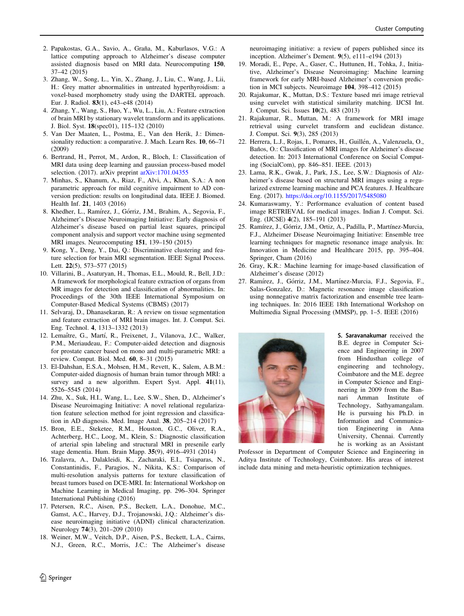- <span id="page-7-0"></span>2. Papakostas, G.A., Savio, A., Graña, M., Kaburlasos, V.G.: A lattice computing approach to Alzheimer's disease computer assisted diagnosis based on MRI data. Neurocomputing 150, 37–42 (2015)
- 3. Zhang, W., Song, L., Yin, X., Zhang, J., Liu, C., Wang, J., Lii, H.: Grey matter abnormalities in untreated hyperthyroidism: a voxel-based morphometry study using the DARTEL approach. Eur. J. Radiol. 83(1), e43–e48 (2014)
- 4. Zhang, Y., Wang, S., Huo, Y., Wu, L., Liu, A.: Feature extraction of brain MRI by stationary wavelet transform and its applications. J. Biol. Syst. 18(spec01), 115–132 (2010)
- 5. Van Der Maaten, L., Postma, E., Van den Herik, J.: Dimensionality reduction: a comparative. J. Mach. Learn Res. 10, 66–71 (2009)
- 6. Bertrand, H., Perrot, M., Ardon, R., Bloch, I.: Classification of MRI data using deep learning and gaussian process-based model selection. (2017). arXiv preprint [arXiv:1701.04355](http://arxiv.org/abs/1701.04355)
- 7. Minhas, S., Khanum, A., Riaz, F., Alvi, A., Khan, S.A.: A non parametric approach for mild cognitive impairment to AD conversion prediction: results on longitudinal data. IEEE J. Biomed. Health Inf. 21, 1403 (2016)
- 8. Khedher, L., Ramírez, J., Górriz, J.M., Brahim, A., Segovia, F., Alzheimer's Disease Neuroimaging Initiative: Early diagnosis of Alzheimer's disease based on partial least squares, principal component analysis and support vector machine using segmented MRI images. Neurocomputing 151, 139–150 (2015)
- 9. Kong, Y., Deng, Y., Dai, Q.: Discriminative clustering and feature selection for brain MRI segmentation. IEEE Signal Process. Lett. 22(5), 573–577 (2015)
- 10. Villarini, B., Asaturyan, H., Thomas, E.L., Mould, R., Bell, J.D.: A framework for morphological feature extraction of organs from MR images for detection and classification of abnormalities. In: Proceedings of the 30th IEEE International Symposium on Computer-Based Medical Systems (CBMS) (2017)
- 11. Selvaraj, D., Dhanasekaran, R.: A review on tissue segmentation and feature extraction of MRI brain images. Int. J. Comput. Sci. Eng. Technol. 4, 1313–1332 (2013)
- 12. Lemaître, G., Martí, R., Freixenet, J., Vilanova, J.C., Walker, P.M., Meriaudeau, F.: Computer-aided detection and diagnosis for prostate cancer based on mono and multi-parametric MRI: a review. Comput. Biol. Med. 60, 8–31 (2015)
- 13. El-Dahshan, E.S.A., Mohsen, H.M., Revett, K., Salem, A.B.M.: Computer-aided diagnosis of human brain tumor through MRI: a survey and a new algorithm. Expert Syst. Appl. 41(11), 5526–5545 (2014)
- 14. Zhu, X., Suk, H.I., Wang, L., Lee, S.W., Shen, D., Alzheimer's Disease Neuroimaging Initiative: A novel relational regularization feature selection method for joint regression and classification in AD diagnosis. Med. Image Anal. 38, 205–214 (2017)
- 15. Bron, E.E., Steketee, R.M., Houston, G.C., Oliver, R.A., Achterberg, H.C., Loog, M., Klein, S.: Diagnostic classification of arterial spin labeling and structural MRI in presenile early stage dementia. Hum. Brain Mapp. 35(9), 4916–4931 (2014)
- 16. Tzalavra, A., Dalakleidi, K., Zacharaki, E.I., Tsiaparas, N., Constantinidis, F., Paragios, N., Nikita, K.S.: Comparison of multi-resolution analysis patterns for texture classification of breast tumors based on DCE-MRI. In: International Workshop on Machine Learning in Medical Imaging, pp. 296–304. Springer International Publishing (2016)
- 17. Petersen, R.C., Aisen, P.S., Beckett, L.A., Donohue, M.C., Gamst, A.C., Harvey, D.J., Trojanowski, J.Q.: Alzheimer's disease neuroimaging initiative (ADNI) clinical characterization. Neurology 74(3), 201–209 (2010)
- 18. Weiner, M.W., Veitch, D.P., Aisen, P.S., Beckett, L.A., Cairns, N.J., Green, R.C., Morris, J.C.: The Alzheimer's disease

neuroimaging initiative: a review of papers published since its inception. Alzheimer's Dement. 9(5), e111–e194 (2013)

- 19. Moradi, E., Pepe, A., Gaser, C., Huttunen, H., Tohka, J., Initiative, Alzheimer's Disease Neuroimaging: Machine learning framework for early MRI-based Alzheimer's conversion prediction in MCI subjects. Neuroimage 104, 398–412 (2015)
- 20. Rajakumar, K., Muttan, D.S.: Texture based mri image retrieval using curvelet with statistical similarity matching. IJCSI Int. J. Comput. Sci. Issues 10(2), 483 (2013)
- 21. Rajakumar, R., Muttan, M.: A framework for MRI image retrieval using curvelet transform and euclidean distance. J. Comput. Sci. 9(3), 285 (2013)
- 22. Herrera, L.J., Rojas, I., Pomares, H., Guillén, A., Valenzuela, O., Baños, O.: Classification of MRI images for Alzheimer's disease detection. In: 2013 International Conference on Social Computing (SocialCom), pp. 846–851. IEEE. (2013)
- 23. Lama, R.K., Gwak, J., Park, J.S., Lee, S.W.: Diagnosis of Alzheimer's disease based on structural MRI images using a regularized extreme learning machine and PCA features. J. Healthcare Eng. (2017). <https://doi.org/10.1155/2017/5485080>
- 24. Kumaraswamy, Y.: Performance evaluation of content based image RETRIEVAL for medical images. Indian J. Comput. Sci. Eng. (IJCSE) 4(2), 185–191 (2013)
- 25. Ramírez, J., Górriz, J.M., Ortiz, A., Padilla, P., Martínez-Murcia, F.J., Alzheimer Disease Neuroimaging Initiative: Ensemble tree learning techniques for magnetic resonance image analysis. In: Innovation in Medicine and Healthcare 2015, pp. 395–404. Springer, Cham (2016)
- 26. Gray, K.R.: Machine learning for image-based classification of Alzheimer's disease (2012)
- 27. Ramírez, J., Górriz, J.M., Martínez-Murcia, F.J., Segovia, F., Salas-Gonzalez, D.: Magnetic resonance image classification using nonnegative matrix factorization and ensemble tree learning techniques. In: 2016 IEEE 18th International Workshop on Multimedia Signal Processing (MMSP), pp. 1–5. IEEE (2016)



S. Saravanakumar received the B.E. degree in Computer Science and Engineering in 2007 from Hindusthan college of engineering and technology, Coimbatore and the M.E. degree in Computer Science and Engineering in 2009 from the Bannari Amman Institute of Technology, Sathyamangalam. He is pursuing his Ph.D. in Information and Communication Engineering in Anna University, Chennai. Currently he is working as an Assistant

Professor in Department of Computer Science and Engineering in Aditya Institute of Technology, Coimbatore. His areas of interest include data mining and meta-heuristic optimization techniques.